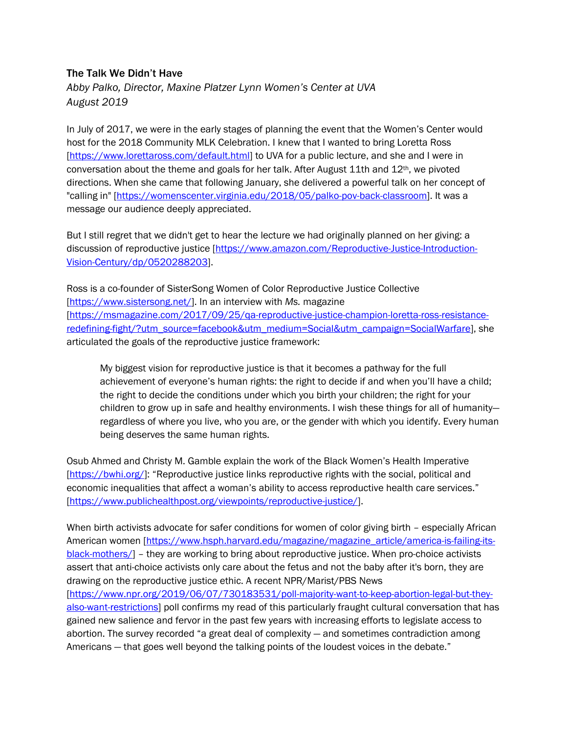## The Talk We Didn't Have

*Abby Palko, Director, Maxine Platzer Lynn Women's Center at UVA August 2019*

In July of 2017, we were in the early stages of planning the event that the Women's Center would host for the 2018 Community MLK Celebration. I knew that I wanted to bring Loretta Ross [https://www.lorettaross.com/default.html] to UVA for a public lecture, and she and I were in conversation about the theme and goals for her talk. After August 11th and  $12<sup>th</sup>$ , we pivoted directions. When she came that following January, she delivered a powerful talk on her concept of "calling in" [https://womenscenter.virginia.edu/2018/05/palko-pov-back-classroom]. It was a message our audience deeply appreciated.

But I still regret that we didn't get to hear the lecture we had originally planned on her giving: a discussion of reproductive justice [https://www.amazon.com/Reproductive-Justice-Introduction-Vision-Century/dp/0520288203].

Ross is a co-founder of SisterSong Women of Color Reproductive Justice Collective [https://www.sistersong.net/]. In an interview with *Ms.* magazine [https://msmagazine.com/2017/09/25/qa-reproductive-justice-champion-loretta-ross-resistanceredefining-fight/?utm\_source=facebook&utm\_medium=Social&utm\_campaign=SocialWarfare], she articulated the goals of the reproductive justice framework:

My biggest vision for reproductive justice is that it becomes a pathway for the full achievement of everyone's human rights: the right to decide if and when you'll have a child; the right to decide the conditions under which you birth your children; the right for your children to grow up in safe and healthy environments. I wish these things for all of humanity regardless of where you live, who you are, or the gender with which you identify. Every human being deserves the same human rights.

Osub Ahmed and Christy M. Gamble explain the work of the Black Women's Health Imperative [https://bwhi.org/]: "Reproductive justice links reproductive rights with the social, political and economic inequalities that affect a woman's ability to access reproductive health care services." [https://www.publichealthpost.org/viewpoints/reproductive-justice/].

When birth activists advocate for safer conditions for women of color giving birth - especially African American women [https://www.hsph.harvard.edu/magazine/magazine\_article/america-is-failing-itsblack-mothers/] – they are working to bring about reproductive justice. When pro-choice activists assert that anti-choice activists only care about the fetus and not the baby after it's born, they are drawing on the reproductive justice ethic. A recent NPR/Marist/PBS News [https://www.npr.org/2019/06/07/730183531/poll-majority-want-to-keep-abortion-legal-but-theyalso-want-restrictions] poll confirms my read of this particularly fraught cultural conversation that has gained new salience and fervor in the past few years with increasing efforts to legislate access to abortion. The survey recorded "a great deal of complexity — and sometimes contradiction among Americans — that goes well beyond the talking points of the loudest voices in the debate."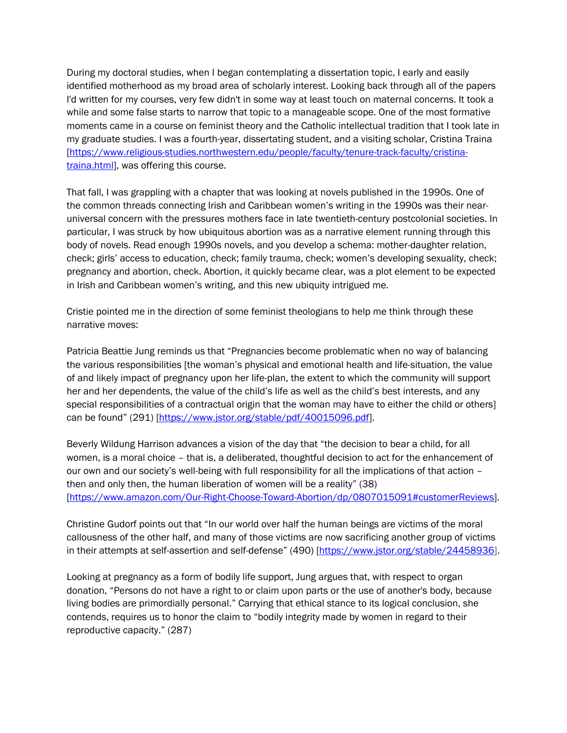During my doctoral studies, when I began contemplating a dissertation topic, I early and easily identified motherhood as my broad area of scholarly interest. Looking back through all of the papers I'd written for my courses, very few didn't in some way at least touch on maternal concerns. It took a while and some false starts to narrow that topic to a manageable scope. One of the most formative moments came in a course on feminist theory and the Catholic intellectual tradition that I took late in my graduate studies. I was a fourth-year, dissertating student, and a visiting scholar, Cristina Traina [https://www.religious-studies.northwestern.edu/people/faculty/tenure-track-faculty/cristinatraina.html], was offering this course.

That fall, I was grappling with a chapter that was looking at novels published in the 1990s. One of the common threads connecting Irish and Caribbean women's writing in the 1990s was their nearuniversal concern with the pressures mothers face in late twentieth-century postcolonial societies. In particular, I was struck by how ubiquitous abortion was as a narrative element running through this body of novels. Read enough 1990s novels, and you develop a schema: mother-daughter relation, check; girls' access to education, check; family trauma, check; women's developing sexuality, check; pregnancy and abortion, check. Abortion, it quickly became clear, was a plot element to be expected in Irish and Caribbean women's writing, and this new ubiquity intrigued me.

Cristie pointed me in the direction of some feminist theologians to help me think through these narrative moves:

Patricia Beattie Jung reminds us that "Pregnancies become problematic when no way of balancing the various responsibilities [the woman's physical and emotional health and life-situation, the value of and likely impact of pregnancy upon her life-plan, the extent to which the community will support her and her dependents, the value of the child's life as well as the child's best interests, and any special responsibilities of a contractual origin that the woman may have to either the child or others] can be found" (291) [https://www.jstor.org/stable/pdf/40015096.pdf].

Beverly Wildung Harrison advances a vision of the day that "the decision to bear a child, for all women, is a moral choice – that is, a deliberated, thoughtful decision to act for the enhancement of our own and our society's well-being with full responsibility for all the implications of that action – then and only then, the human liberation of women will be a reality" (38) [https://www.amazon.com/Our-Right-Choose-Toward-Abortion/dp/0807015091#customerReviews].

Christine Gudorf points out that "In our world over half the human beings are victims of the moral callousness of the other half, and many of those victims are now sacrificing another group of victims in their attempts at self-assertion and self-defense" (490) [https://www.jstor.org/stable/24458936].

Looking at pregnancy as a form of bodily life support, Jung argues that, with respect to organ donation, "Persons do not have a right to or claim upon parts or the use of another's body, because living bodies are primordially personal." Carrying that ethical stance to its logical conclusion, she contends, requires us to honor the claim to "bodily integrity made by women in regard to their reproductive capacity." (287)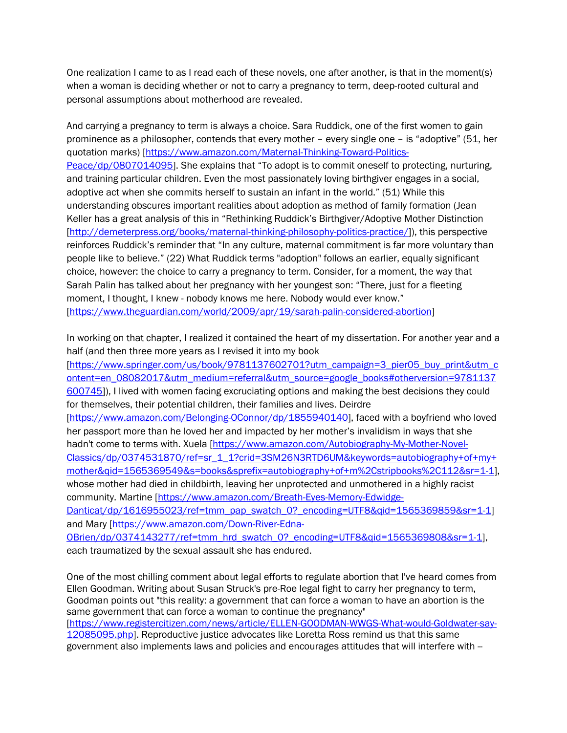One realization I came to as I read each of these novels, one after another, is that in the moment(s) when a woman is deciding whether or not to carry a pregnancy to term, deep-rooted cultural and personal assumptions about motherhood are revealed.

And carrying a pregnancy to term is always a choice. Sara Ruddick, one of the first women to gain prominence as a philosopher, contends that every mother – every single one – is "adoptive" (51, her quotation marks) [https://www.amazon.com/Maternal-Thinking-Toward-Politics-Peace/dp/0807014095]. She explains that "To adopt is to commit oneself to protecting, nurturing, and training particular children. Even the most passionately loving birthgiver engages in a social, adoptive act when she commits herself to sustain an infant in the world." (51) While this understanding obscures important realities about adoption as method of family formation (Jean Keller has a great analysis of this in "Rethinking Ruddick's Birthgiver/Adoptive Mother Distinction [http://demeterpress.org/books/maternal-thinking-philosophy-politics-practice/]), this perspective reinforces Ruddick's reminder that "In any culture, maternal commitment is far more voluntary than people like to believe." (22) What Ruddick terms "adoption" follows an earlier, equally significant choice, however: the choice to carry a pregnancy to term. Consider, for a moment, the way that Sarah Palin has talked about her pregnancy with her youngest son: "There, just for a fleeting moment, I thought, I knew - nobody knows me here. Nobody would ever know." [https://www.theguardian.com/world/2009/apr/19/sarah-palin-considered-abortion]

In working on that chapter, I realized it contained the heart of my dissertation. For another year and a half (and then three more years as I revised it into my book

[https://www.springer.com/us/book/9781137602701?utm\_campaign=3\_pier05\_buy\_print&utm\_c ontent=en\_08082017&utm\_medium=referral&utm\_source=google\_books#otherversion=9781137 600745]), I lived with women facing excruciating options and making the best decisions they could for themselves, their potential children, their families and lives. Deirdre

[https://www.amazon.com/Belonging-OConnor/dp/1855940140], faced with a boyfriend who loved her passport more than he loved her and impacted by her mother's invalidism in ways that she hadn't come to terms with. Xuela [https://www.amazon.com/Autobiography-My-Mother-Novel-Classics/dp/0374531870/ref=sr\_1\_1?crid=3SM26N3RTD6UM&keywords=autobiography+of+my+ mother&qid=1565369549&s=books&sprefix=autobiography+of+m%2Cstripbooks%2C112&sr=1-1], whose mother had died in childbirth, leaving her unprotected and unmothered in a highly racist community. Martine [https://www.amazon.com/Breath-Eyes-Memory-Edwidge-

Danticat/dp/1616955023/ref=tmm\_pap\_swatch\_0?\_encoding=UTF8&qid=1565369859&sr=1-1] and Mary [https://www.amazon.com/Down-River-Edna-

OBrien/dp/0374143277/ref=tmm\_hrd\_swatch\_0?\_encoding=UTF8&qid=1565369808&sr=1-1], each traumatized by the sexual assault she has endured.

One of the most chilling comment about legal efforts to regulate abortion that I've heard comes from Ellen Goodman. Writing about Susan Struck's pre-Roe legal fight to carry her pregnancy to term, Goodman points out "this reality: a government that can force a woman to have an abortion is the same government that can force a woman to continue the pregnancy" [https://www.registercitizen.com/news/article/ELLEN-GOODMAN-WWGS-What-would-Goldwater-say-12085095.php]. Reproductive justice advocates like Loretta Ross remind us that this same government also implements laws and policies and encourages attitudes that will interfere with --